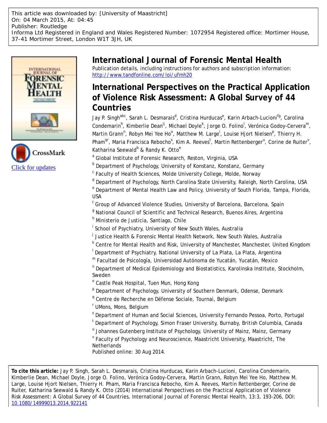This article was downloaded by: [University of Maastricht] On: 04 March 2015, At: 04:45 Publisher: Routledge Informa Ltd Registered in England and Wales Registered Number: 1072954 Registered office: Mortimer House, 37-41 Mortimer Street, London W1T 3JH, UK





# **International Journal of Forensic Mental Health**

Publication details, including instructions for authors and subscription information: <http://www.tandfonline.com/loi/ufmh20>

# **International Perspectives on the Practical Application of Violence Risk Assessment: A Global Survey of 44 Countries**

Jay P. Singh<sup>abc</sup>, Sarah L. Desmarais<sup>d</sup>, Cristina Hurducas<sup>e</sup>, Karin Arbach-Lucioni<sup>fg</sup>, Carolina Condemarin<sup>h</sup>, Kimberlie Dean<sup>ij</sup>, Michael Doyle<sup>k</sup>, Jorge O. Folino<sup>l</sup>, Verónica Godoy-Cervera<sup>m</sup>, Martin Grann<sup>n</sup>, Robyn Mei Yee Ho<sup>o</sup>, Matthew M. Large<sup>i</sup>, Louise Hjort Nielsen<sup>p</sup>, Thierry H. Pham<sup>qr</sup>, Maria Francisca Rebocho<sup>s</sup>, Kim A. Reeves<sup>t</sup>, Martin Rettenberger<sup>u</sup>, Corine de Ruiter<sup>v</sup>, Katharina Seewald $^{\rm b}$  & Randy K. Otto $^{\rm e}$ 

<sup>a</sup> Global Institute of Forensic Research, Reston, Virginia, USA

**b** Department of Psychology, University of Konstanz, Konstanz, Germany

<sup>c</sup> Faculty of Health Sciences, Molde University College, Molde, Norway

<sup>d</sup> Department of Psychology, North Carolina State University, Raleigh, North Carolina, USA

<sup>e</sup> Department of Mental Health Law and Policy, University of South Florida, Tampa, Florida, USA

<sup>f</sup> Group of Advanced Violence Studies, University of Barcelona, Barcelona, Spain

<sup>g</sup> National Council of Scientific and Technical Research, Buenos Aires, Argentina

<sup>h</sup> Ministerio de Justicia, Santiago, Chile

<sup>i</sup> School of Psychiatry, University of New South Wales, Australia

<sup>j</sup> Justice Health & Forensic Mental Health Network, New South Wales, Australia

- <sup>k</sup> Centre for Mental Health and Risk, University of Manchester, Manchester, United Kingdom
	- <sup>1</sup> Department of Psychiatry, National University of La Plata, La Plata, Argentina

<sup>m</sup> Facultad de Psicología, Universidad Autónoma de Yucatán, Yucatán, Mexico

<sup>n</sup> Department of Medical Epidemiology and Biostatistics, Karolinska Institute, Stockholm, Sweden

<sup>o</sup> Castle Peak Hospital, Tuen Mun, Hong Kong

<sup>p</sup> Department of Psychology, University of Southern Denmark, Odense, Denmark

<sup>q</sup> Centre de Recherche en Défense Sociale, Tournai, Belgium

<sup>r</sup> UMons, Mons, Belgium

<sup>s</sup> Department of Human and Social Sciences, University Fernando Pessoa, Porto, Portugal

- <sup>t</sup> Department of Psychology, Simon Fraser University, Burnaby, British Columbia, Canada
- <sup>u</sup> Johannes Gutenberg Institute of Psychology, University of Mainz, Mainz, Germany

<sup>v</sup> Faculty of Psychology and Neuroscience, Maastricht University, Maastricht, The **Netherlands** 

Published online: 30 Aug 2014.

**To cite this article:** Jay P. Singh, Sarah L. Desmarais, Cristina Hurducas, Karin Arbach-Lucioni, Carolina Condemarin, Kimberlie Dean, Michael Doyle, Jorge O. Folino, Verónica Godoy-Cervera, Martin Grann, Robyn Mei Yee Ho, Matthew M. Large, Louise Hjort Nielsen, Thierry H. Pham, Maria Francisca Rebocho, Kim A. Reeves, Martin Rettenberger, Corine de Ruiter, Katharina Seewald & Randy K. Otto (2014) International Perspectives on the Practical Application of Violence Risk Assessment: A Global Survey of 44 Countries, International Journal of Forensic Mental Health, 13:3, 193-206, DOI: [10.1080/14999013.2014.922141](http://www.tandfonline.com/action/showCitFormats?doi=10.1080/14999013.2014.922141)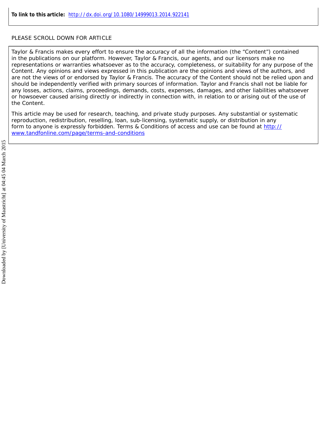# PLEASE SCROLL DOWN FOR ARTICLE

Taylor & Francis makes every effort to ensure the accuracy of all the information (the "Content") contained in the publications on our platform. However, Taylor & Francis, our agents, and our licensors make no representations or warranties whatsoever as to the accuracy, completeness, or suitability for any purpose of the Content. Any opinions and views expressed in this publication are the opinions and views of the authors, and are not the views of or endorsed by Taylor & Francis. The accuracy of the Content should not be relied upon and should be independently verified with primary sources of information. Taylor and Francis shall not be liable for any losses, actions, claims, proceedings, demands, costs, expenses, damages, and other liabilities whatsoever or howsoever caused arising directly or indirectly in connection with, in relation to or arising out of the use of the Content.

This article may be used for research, teaching, and private study purposes. Any substantial or systematic reproduction, redistribution, reselling, loan, sub-licensing, systematic supply, or distribution in any form to anyone is expressly forbidden. Terms & Conditions of access and use can be found at [http://](http://www.tandfonline.com/page/terms-and-conditions) [www.tandfonline.com/page/terms-and-conditions](http://www.tandfonline.com/page/terms-and-conditions)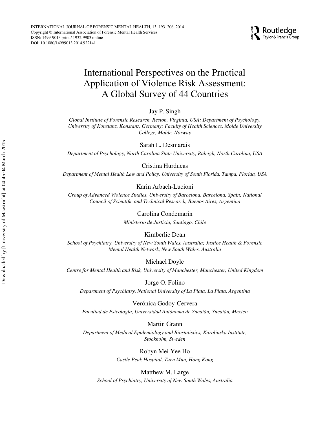

# International Perspectives on the Practical Application of Violence Risk Assessment: A Global Survey of 44 Countries

Jay P. Singh

Global Institute of Forensic Research, Reston, Virginia, USA; Department of Psychology, University of Konstanz, Konstanz, Germany; Faculty of Health Sciences, Molde University College, Molde, Norway

Sarah L. Desmarais

Department of Psychology, North Carolina State University, Raleigh, North Carolina, USA

Cristina Hurducas

Department of Mental Health Law and Policy, University of South Florida, Tampa, Florida, USA

Karin Arbach-Lucioni

Group of Advanced Violence Studies, University of Barcelona, Barcelona, Spain; National Council of Scientific and Technical Research, Buenos Aires, Argentina

## Carolina Condemarin

Ministerio de Justicia, Santiago, Chile

# Kimberlie Dean

School of Psychiatry, University of New South Wales, Australia; Justice Health & Forensic Mental Health Network, New South Wales, Australia

# Michael Doyle

Centre for Mental Health and Risk, University of Manchester, Manchester, United Kingdom

Jorge O. Folino

Department of Psychiatry, National University of La Plata, La Plata, Argentina

Verónica Godoy-Cervera

Facultad de Psicología, Universidad Autónoma de Yucatán, Yucatán, Mexico

Martin Grann

Department of Medical Epidemiology and Biostatistics, Karolinska Institute, Stockholm, Sweden

> Robyn Mei Yee Ho Castle Peak Hospital, Tuen Mun, Hong Kong

Matthew M. Large School of Psychiatry, University of New South Wales, Australia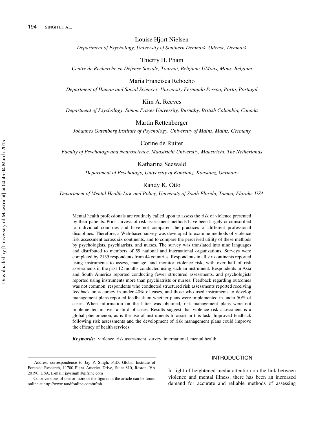## Louise Hjort Nielsen

Department of Psychology, University of Southern Denmark, Odense, Denmark

Thierry H. Pham

Centre de Recherche en Defense Sociale, Tournai, Belgium; UMons, Mons, Belgium

Maria Francisca Rebocho

Department of Human and Social Sciences, University Fernando Pessoa, Porto, Portugal

Kim A. Reeves

Department of Psychology, Simon Fraser University, Burnaby, British Columbia, Canada

## Martin Rettenberger

Johannes Gutenberg Institute of Psychology, University of Mainz, Mainz, Germany

Corine de Ruiter

Faculty of Psychology and Neuroscience, Maastricht University, Maastricht, The Netherlands

# Katharina Seewald

Department of Psychology, University of Konstanz, Konstanz, Germany

## Randy K. Otto

Department of Mental Health Law and Policy, University of South Florida, Tampa, Florida, USA

Mental health professionals are routinely called upon to assess the risk of violence presented by their patients. Prior surveys of risk assessment methods have been largely circumscribed to individual countries and have not compared the practices of different professional disciplines. Therefore, a Web-based survey was developed to examine methods of violence risk assessment across six continents, and to compare the perceived utility of these methods by psychologists, psychiatrists, and nurses. The survey was translated into nine languages and distributed to members of 59 national and international organizations. Surveys were completed by 2135 respondents from 44 countries. Respondents in all six continents reported using instruments to assess, manage, and monitor violence risk, with over half of risk assessments in the past 12 months conducted using such an instrument. Respondents in Asia and South America reported conducting fewer structured assessments, and psychologists reported using instruments more than psychiatrists or nurses. Feedback regarding outcomes was not common: respondents who conducted structured risk assessments reported receiving feedback on accuracy in under 40% of cases, and those who used instruments to develop management plans reported feedback on whether plans were implemented in under 50% of cases. When information on the latter was obtained, risk management plans were not implemented in over a third of cases. Results suggest that violence risk assessment is a global phenomenon, as is the use of instruments to assist in this task. Improved feedback following risk assessments and the development of risk management plans could improve the efficacy of health services.

Keywords: violence, risk assessment, survey, international, mental health

## INTRODUCTION

In light of heightened media attention on the link between violence and mental illness, there has been an increased demand for accurate and reliable methods of assessing

Address correspondence to Jay P. Singh, PhD, Global Institute of Forensic Research, 11700 Plaza America Drive, Suite 810, Reston, VA 20190, USA. E-mail: jaysingh@gifrinc.com

Color versions of one or more of the figures in the article can be found online at http://www.tandfonline.com/ufmh.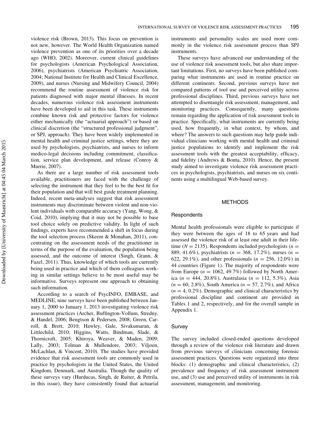violence risk (Brown, 2013). This focus on prevention is not new, however. The World Health Organization named violence prevention as one of its priorities over a decade ago (WHO, 2002). Moreover, current clinical guidelines for psychologists (American Psychological Association, 2006), psychiatrists (American Psychiatric Association, 2004; National Institute for Health and Clinical Excellence, 2009), and nurses (Nursing and Midwifery Council, 2004) recommend the routine assessment of violence risk for patients diagnosed with major mental illnesses. In recent decades, numerous violence risk assessment instruments have been developed to aid in this task. These instruments combine known risk and protective factors for violence either mechanically (the "actuarial approach") or based on clinical discretion (the "structured professional judgment", or SPJ, approach). They have been widely implemented in mental health and criminal justice settings, where they are used by psychologists, psychiatrists, and nurses to inform medico-legal decisions including commitment, classification, service plan development, and release (Conroy & Murrie, 2007).

As there are a large number of risk assessment tools available, practitioners are faced with the challenge of selecting the instrument that they feel to be the best fit for their population and that will best guide treatment planning. Indeed, recent meta-analyses suggest that risk assessment instruments may discriminate between violent and non-violent individuals with comparable accuracy (Yang, Wong, & Coid, 2010), implying that it may not be possible to base tool choice solely on predictive validity. In light of such findings, experts have recommended a shift in focus during the tool selection process (Skeem & Monahan, 2011), concentrating on the assessment needs of the practitioner in terms of the purpose of the evaluation, the population being assessed, and the outcome of interest (Singh, Grann, & Fazel, 2011). Thus, knowledge of which tools are currently being used in practice and which of them colleagues working in similar settings believe to be most useful may be informative. Surveys represent one approach to obtaining such information.

According to a search of PsycINFO, EMBASE, and MEDLINE, nine surveys have been published between January 1, 2000 to January 1, 2013 investigating violence risk assessment practices (Archer, Buffington-Vollum, Stredny, & Handel, 2006; Bengtson & Pedersen, 2008; Green, Carroll, & Brett, 2010; Hawley, Gale, Sivakumaran, & Littlechild, 2010; Higgins, Watts, Bindman, Slade, & Thornicroft, 2005; Khiroya, Weaver, & Maden, 2009; Lally, 2003; Tolman & Mullendore, 2003; Viljoen, McLachlan, & Vincent, 2010). The studies have provided evidence that risk assessment tools are commonly used in practice by psychologists in the United States, the United Kingdom, Denmark, and Australia. Though the quality of these surveys vary (Hurducas, Singh, de Ruiter, & Petrila, in this issue), they have consistently found that actuarial

instruments and personality scales are used more commonly in the violence risk assessment process than SPJ instruments.

These surveys have advanced our understanding of the use of violence risk assessment tools, but also share important limitations. First, no surveys have been published comparing what instruments are used in routine practice on different continents. Second, previous surveys have not compared patterns of tool use and perceived utility across professional disciplines. Third, previous surveys have not attempted to disentangle risk assessment, management, and monitoring practices. Consequently, many questions remain regarding the application of risk assessment tools in practice. Specifically, what instruments are currently being used, how frequently, in what context, by whom, and where? The answers to such questions may help guide individual clinicians working with mental health and criminal justice populations to identify and implement the risk assessment tools with the greatest acceptability, efficacy, and fidelity (Andrews & Bonta, 2010). Hence, the present study aimed to investigate violence risk assessment practices in psychologists, psychiatrists, and nurses on six continents using a multilingual Web-based survey.

## METHODS

## **Respondents**

Mental health professionals were eligible to participate if they were between the ages of 18 to 65 years and had assessed the violence risk of at least one adult in their lifetime ( $N = 2135$ ). Respondents included psychologists ( $n =$ 889, 41.6%), psychiatrists ( $n = 368, 17.2\%$ ), nurses ( $n =$ 622, 29.1%), and other professionals ( $n = 256$ , 12.0%) in 44 countries (Figure 1). The majority of respondents were from Europe ( $n = 1062, 49.7\%$ ) followed by North America (n = 444, 20.8%), Australasia (n = 112, 5.3%), Asia  $(n = 60, 2.8\%)$ , South America  $(n = 57, 2.7\%)$ , and Africa  $(n = 4, 0.2\%)$ . Demographic and clinical characteristics by professional discipline and continent are provided in Tables 1 and 2, respectively, and for the overall sample in Appendix 1.

#### Survey

The survey included closed-ended questions developed through a review of the violence risk literature and drawn from previous surveys of clinicians concerning forensic assessment practices. Questions were organized into three blocks: (1) demographic and clinical characteristics, (2) prevalence and frequency of risk assessment instrument use, and (3) use and perceived utility of instruments in risk assessment, management, and monitoring.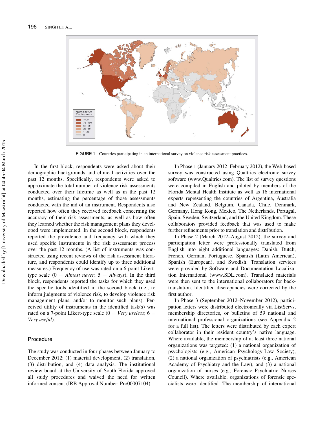

FIGURE 1 Countries participating in an international survey on violence risk assessment practices.

In the first block, respondents were asked about their demographic backgrounds and clinical activities over the past 12 months. Specifically, respondents were asked to approximate the total number of violence risk assessments conducted over their lifetime as well as in the past 12 months, estimating the percentage of those assessments conducted with the aid of an instrument. Respondents also reported how often they received feedback concerning the accuracy of their risk assessments, as well as how often they learned whether the risk management plans they developed were implemented. In the second block, respondents reported the prevalence and frequency with which they used specific instruments in the risk assessment process over the past 12 months. (A list of instruments was constructed using recent reviews of the risk assessment literature, and respondents could identify up to three additional measures.) Frequency of use was rated on a 6-point Likerttype scale (0 = Almost never;  $5 =$  Always). In the third block, respondents reported the tasks for which they used the specific tools identified in the second block (i.e., to inform judgments of violence risk, to develop violence risk management plans, and/or to monitor such plans). Perceived utility of instruments in the identified task(s) was rated on a 7-point Likert-type scale  $(0 = V$ ery useless; 6 = Very useful).

## Procedure

The study was conducted in four phases between January to December 2012: (1) material development, (2) translation, (3) distribution, and (4) data analysis. The institutional review board at the University of South Florida approved all study procedures and waived the need for written informed consent (IRB Approval Number: Pro00007104).

In Phase 1 (January 2012–February 2012), the Web-based survey was constructed using Qualtrics electronic survey software [\(www.Qualtrics.com\). The list of survey questions](http://www.Qualtrics.com) [were compiled in English and piloted by members of the](http://www.Qualtrics.com) [Florida Mental Health Institute as well as 16 international](http://www.Qualtrics.com) [experts representing the countries of Argentina, Australia](http://www.Qualtrics.com) [and New Zealand, Belgium, Canada, Chile, Denmark,](http://www.Qualtrics.com) [Germany, Hong Kong, Mexico, The Netherlands, Portugal,](http://www.Qualtrics.com) [Spain, Sweden, Switzerland, and the United Kingdom. These](http://www.Qualtrics.com) [collaborators provided feedback that was used to make](http://www.Qualtrics.com) [further refinements prior to translation and distribution.](http://www.Qualtrics.com)

In Phase 2 (March 2012–August 2012), the survey and participation letter were professionally translated from English into eight additional languages: Danish, Dutch, French, German, Portuguese, Spanish (Latin American), Spanish (European), and Swedish. Translation services were provided by Software and Documentation Localization International ([www.SDL.com\). Translated materials](http://www.SDL.com) [were then sent to the international collaborators for back](http://www.SDL.com)[translation. Identified discrepancies were corrected by the](http://www.SDL.com) [first author.](http://www.SDL.com)

In Phase 3 (September 2012–November 2012), participation letters were distributed electronically via ListServs, membership directories, or bulletins of 59 national and international professional organizations (see Appendix 2 for a full list). The letters were distributed by each expert collaborator in their resident country's native language. Where available, the membership of at least three national organizations was targeted: (1) a national organization of psychologists (e.g., American Psychology-Law Society), (2) a national organization of psychiatrists (e.g., American Academy of Psychiatry and the Law), and (3) a national organization of nurses (e.g., Forensic Psychiatric Nurses Council). Where available, organizations of forensic specialists were identified. The membership of international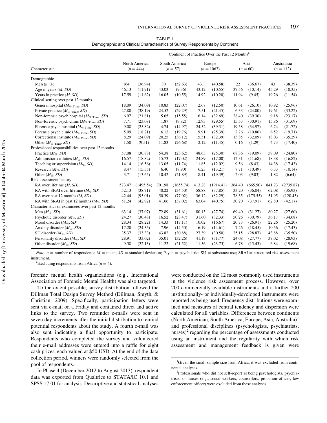| North America<br>South America<br>Asia<br>Australasia<br>Europe<br>$(n = 1062)$<br>Characteristic<br>$(n = 444)$<br>$(n = 57)$<br>$(n = 60)$<br>$(n = 112)$<br>Demographic<br>Men $(n, \%)$<br>164<br>(36.94)<br>30<br>(52.63)<br>431<br>(40.58)<br>22<br>(36.67)<br>43<br>Age in years $(M, SD)$<br>46.13<br>(11.91)<br>43.03<br>(9.36)<br>43.12<br>37.56<br>45.29<br>(10.55)<br>(10.14)<br>Years in practice $(M, SD)$<br>17.59<br>(11.62)<br>16.05<br>(10.55)<br>14.92<br>(10.20)<br>11.94<br>19.26<br>(9.45)<br>Clinical setting over past 12 months<br>General hospital ( $M_{\%}$ <sub>Time</sub> , SD)<br>10.83<br>18.09<br>(34.09)<br>(22.07)<br>2.67<br>(12.50)<br>10.61<br>(26.10)<br>10.92<br>Private practice $(M_{\% \text{ Time}}, SD)$<br>6.33<br>27.80<br>(38.19)<br>24.52<br>(29.29)<br>7.51<br>(21.45)<br>(24.00)<br>19.61<br>6.97<br>Non-forensic psych hospital $(M_{\% \text{ Time}}, SD)$<br>(21.81)<br>5.65<br>16.14<br>(32.69)<br>28.40<br>(39.30)<br>9.18<br>(15.55)<br>Non-forensic psych clinic ( $M_{\% \text{ Time}}, SD$ )<br>7.71<br>1.87<br>12.93<br>(23.08)<br>(9.82)<br>(29.55)<br>15.53<br>(30.91)<br>15.86<br>9.08<br>4.74<br>Forensic psych hospital ( $M_{\% \text{ Time}}$ , SD)<br>(14.97)<br>24.52<br>(39.31)<br>19.58<br>6.74<br>(25.82)<br>(34.97)<br>6.12<br>Forensic psych clinic $(M_{\% \text{ Time}}, SD)$<br>5.09<br>(18.21)<br>9.91<br>(25.39)<br>2.76<br>6.52<br>(19.76)<br>(10.86)<br>Correctional institute ( $M_{\%}$ Time, SD)<br>20.25<br>13.85<br>8.29<br>(24.09)<br>(36.12)<br>15.31<br>(32.39)<br>(32.09)<br>18.03<br>11.83<br>1.50<br>(9.51)<br>(26.68)<br>2.12<br>0.16<br>4.73<br>Other $(M_{\% \text{ Time}}, SD)$<br>(11.45)<br>(1.29)<br>Professional responsibilities over past 12 months | Continent of Practice Over the Past 12 Months <sup>a</sup> |  |  |  |  |  |  |
|------------------------------------------------------------------------------------------------------------------------------------------------------------------------------------------------------------------------------------------------------------------------------------------------------------------------------------------------------------------------------------------------------------------------------------------------------------------------------------------------------------------------------------------------------------------------------------------------------------------------------------------------------------------------------------------------------------------------------------------------------------------------------------------------------------------------------------------------------------------------------------------------------------------------------------------------------------------------------------------------------------------------------------------------------------------------------------------------------------------------------------------------------------------------------------------------------------------------------------------------------------------------------------------------------------------------------------------------------------------------------------------------------------------------------------------------------------------------------------------------------------------------------------------------------------------------------------------------------------------------------------------------------------------------------------------------------------------------------------------------------------|------------------------------------------------------------|--|--|--|--|--|--|
|                                                                                                                                                                                                                                                                                                                                                                                                                                                                                                                                                                                                                                                                                                                                                                                                                                                                                                                                                                                                                                                                                                                                                                                                                                                                                                                                                                                                                                                                                                                                                                                                                                                                                                                                                            |                                                            |  |  |  |  |  |  |
|                                                                                                                                                                                                                                                                                                                                                                                                                                                                                                                                                                                                                                                                                                                                                                                                                                                                                                                                                                                                                                                                                                                                                                                                                                                                                                                                                                                                                                                                                                                                                                                                                                                                                                                                                            |                                                            |  |  |  |  |  |  |
|                                                                                                                                                                                                                                                                                                                                                                                                                                                                                                                                                                                                                                                                                                                                                                                                                                                                                                                                                                                                                                                                                                                                                                                                                                                                                                                                                                                                                                                                                                                                                                                                                                                                                                                                                            |                                                            |  |  |  |  |  |  |
|                                                                                                                                                                                                                                                                                                                                                                                                                                                                                                                                                                                                                                                                                                                                                                                                                                                                                                                                                                                                                                                                                                                                                                                                                                                                                                                                                                                                                                                                                                                                                                                                                                                                                                                                                            | (38.39)                                                    |  |  |  |  |  |  |
|                                                                                                                                                                                                                                                                                                                                                                                                                                                                                                                                                                                                                                                                                                                                                                                                                                                                                                                                                                                                                                                                                                                                                                                                                                                                                                                                                                                                                                                                                                                                                                                                                                                                                                                                                            | (10.35)                                                    |  |  |  |  |  |  |
|                                                                                                                                                                                                                                                                                                                                                                                                                                                                                                                                                                                                                                                                                                                                                                                                                                                                                                                                                                                                                                                                                                                                                                                                                                                                                                                                                                                                                                                                                                                                                                                                                                                                                                                                                            | (11.54)                                                    |  |  |  |  |  |  |
|                                                                                                                                                                                                                                                                                                                                                                                                                                                                                                                                                                                                                                                                                                                                                                                                                                                                                                                                                                                                                                                                                                                                                                                                                                                                                                                                                                                                                                                                                                                                                                                                                                                                                                                                                            |                                                            |  |  |  |  |  |  |
|                                                                                                                                                                                                                                                                                                                                                                                                                                                                                                                                                                                                                                                                                                                                                                                                                                                                                                                                                                                                                                                                                                                                                                                                                                                                                                                                                                                                                                                                                                                                                                                                                                                                                                                                                            | (25.96)                                                    |  |  |  |  |  |  |
|                                                                                                                                                                                                                                                                                                                                                                                                                                                                                                                                                                                                                                                                                                                                                                                                                                                                                                                                                                                                                                                                                                                                                                                                                                                                                                                                                                                                                                                                                                                                                                                                                                                                                                                                                            | (33.22)                                                    |  |  |  |  |  |  |
|                                                                                                                                                                                                                                                                                                                                                                                                                                                                                                                                                                                                                                                                                                                                                                                                                                                                                                                                                                                                                                                                                                                                                                                                                                                                                                                                                                                                                                                                                                                                                                                                                                                                                                                                                            | (23.17)                                                    |  |  |  |  |  |  |
|                                                                                                                                                                                                                                                                                                                                                                                                                                                                                                                                                                                                                                                                                                                                                                                                                                                                                                                                                                                                                                                                                                                                                                                                                                                                                                                                                                                                                                                                                                                                                                                                                                                                                                                                                            | (31.69)                                                    |  |  |  |  |  |  |
|                                                                                                                                                                                                                                                                                                                                                                                                                                                                                                                                                                                                                                                                                                                                                                                                                                                                                                                                                                                                                                                                                                                                                                                                                                                                                                                                                                                                                                                                                                                                                                                                                                                                                                                                                            | (21.72)                                                    |  |  |  |  |  |  |
|                                                                                                                                                                                                                                                                                                                                                                                                                                                                                                                                                                                                                                                                                                                                                                                                                                                                                                                                                                                                                                                                                                                                                                                                                                                                                                                                                                                                                                                                                                                                                                                                                                                                                                                                                            | (19.71)                                                    |  |  |  |  |  |  |
|                                                                                                                                                                                                                                                                                                                                                                                                                                                                                                                                                                                                                                                                                                                                                                                                                                                                                                                                                                                                                                                                                                                                                                                                                                                                                                                                                                                                                                                                                                                                                                                                                                                                                                                                                            | (35.29)                                                    |  |  |  |  |  |  |
|                                                                                                                                                                                                                                                                                                                                                                                                                                                                                                                                                                                                                                                                                                                                                                                                                                                                                                                                                                                                                                                                                                                                                                                                                                                                                                                                                                                                                                                                                                                                                                                                                                                                                                                                                            | (17.40)                                                    |  |  |  |  |  |  |
|                                                                                                                                                                                                                                                                                                                                                                                                                                                                                                                                                                                                                                                                                                                                                                                                                                                                                                                                                                                                                                                                                                                                                                                                                                                                                                                                                                                                                                                                                                                                                                                                                                                                                                                                                            |                                                            |  |  |  |  |  |  |
| Practice $(M_{\%}, SD)$<br>57.08<br>(30.88)<br>54.38<br>(23.62)<br>48.63<br>(25.30)<br>68.36<br>(19.09)<br>59.09                                                                                                                                                                                                                                                                                                                                                                                                                                                                                                                                                                                                                                                                                                                                                                                                                                                                                                                                                                                                                                                                                                                                                                                                                                                                                                                                                                                                                                                                                                                                                                                                                                           | (24.80)                                                    |  |  |  |  |  |  |
| Administrative duties $(M_{\%}, SD)$<br>15.73<br>24.89<br>12.31<br>18.38<br>16.57<br>(18.82)<br>(17.02)<br>(17.00)<br>(11.68)                                                                                                                                                                                                                                                                                                                                                                                                                                                                                                                                                                                                                                                                                                                                                                                                                                                                                                                                                                                                                                                                                                                                                                                                                                                                                                                                                                                                                                                                                                                                                                                                                              | (16.82)                                                    |  |  |  |  |  |  |
| Teaching or supervision $(M_{\%}, SD)$<br>14.14<br>(16.56)<br>13.05<br>(11.74)<br>11.85<br>(12.02)<br>9.56<br>14.38<br>(8.43)                                                                                                                                                                                                                                                                                                                                                                                                                                                                                                                                                                                                                                                                                                                                                                                                                                                                                                                                                                                                                                                                                                                                                                                                                                                                                                                                                                                                                                                                                                                                                                                                                              | (17.43)                                                    |  |  |  |  |  |  |
| 6.40<br>Research $(M_{\%}, SD)$<br>8.47<br>(15.35)<br>(8.90)<br>6.23<br>(13.21)<br>7.71<br>(10.49)<br>6.33                                                                                                                                                                                                                                                                                                                                                                                                                                                                                                                                                                                                                                                                                                                                                                                                                                                                                                                                                                                                                                                                                                                                                                                                                                                                                                                                                                                                                                                                                                                                                                                                                                                 | (10.14)                                                    |  |  |  |  |  |  |
| Other $(M_{\%}, SD)$<br>3.71<br>10.42<br>(21.89)<br>8.41<br>2.03<br>1.82<br>(13.65)<br>(19.39)<br>(9.03)                                                                                                                                                                                                                                                                                                                                                                                                                                                                                                                                                                                                                                                                                                                                                                                                                                                                                                                                                                                                                                                                                                                                                                                                                                                                                                                                                                                                                                                                                                                                                                                                                                                   | (6.64)                                                     |  |  |  |  |  |  |
| Risk assessment history                                                                                                                                                                                                                                                                                                                                                                                                                                                                                                                                                                                                                                                                                                                                                                                                                                                                                                                                                                                                                                                                                                                                                                                                                                                                                                                                                                                                                                                                                                                                                                                                                                                                                                                                    |                                                            |  |  |  |  |  |  |
| RA over lifetime $(M, SD)$<br>573.47<br>(1495.54)<br>701.98<br>(1655.74)<br>413.28<br>(1914.41)<br>364.40<br>(665.50)<br>841.23                                                                                                                                                                                                                                                                                                                                                                                                                                                                                                                                                                                                                                                                                                                                                                                                                                                                                                                                                                                                                                                                                                                                                                                                                                                                                                                                                                                                                                                                                                                                                                                                                            | (2735.87)                                                  |  |  |  |  |  |  |
| RA with SRAI over lifetime $(M_{\%}SD)$<br>52.13<br>40.22<br>58.88<br>33.20<br>62.08<br>(38.71)<br>(34.50)<br>(37.85)<br>(36.04)                                                                                                                                                                                                                                                                                                                                                                                                                                                                                                                                                                                                                                                                                                                                                                                                                                                                                                                                                                                                                                                                                                                                                                                                                                                                                                                                                                                                                                                                                                                                                                                                                           | (35.93)                                                    |  |  |  |  |  |  |
| RA over past 12 months $(M, SD)$<br>42.44<br>(95.01)<br>50.39<br>(77.02)<br>36.12<br>(82.29)<br>78.35<br>(175.55)<br>51.95                                                                                                                                                                                                                                                                                                                                                                                                                                                                                                                                                                                                                                                                                                                                                                                                                                                                                                                                                                                                                                                                                                                                                                                                                                                                                                                                                                                                                                                                                                                                                                                                                                 | (120.45)                                                   |  |  |  |  |  |  |
| RA with SRAI in past 12 months $(M_{\%}$ SD)<br>63.04<br>(40.75)<br>30.20<br>62.80<br>51.24<br>(42.92)<br>41.66<br>(37.02)<br>(37.91)                                                                                                                                                                                                                                                                                                                                                                                                                                                                                                                                                                                                                                                                                                                                                                                                                                                                                                                                                                                                                                                                                                                                                                                                                                                                                                                                                                                                                                                                                                                                                                                                                      | (42.17)                                                    |  |  |  |  |  |  |
| Characteristics of examinees over past 12 months                                                                                                                                                                                                                                                                                                                                                                                                                                                                                                                                                                                                                                                                                                                                                                                                                                                                                                                                                                                                                                                                                                                                                                                                                                                                                                                                                                                                                                                                                                                                                                                                                                                                                                           |                                                            |  |  |  |  |  |  |
| Men $(M_{\%}, SD)$<br>(37.07)<br>72.89<br>80.13<br>(31.27)<br>80.27<br>63.14<br>(31.61)<br>(27.74)<br>69.40                                                                                                                                                                                                                                                                                                                                                                                                                                                                                                                                                                                                                                                                                                                                                                                                                                                                                                                                                                                                                                                                                                                                                                                                                                                                                                                                                                                                                                                                                                                                                                                                                                                | (27.60)                                                    |  |  |  |  |  |  |
| 16.52<br>50.26<br>36.17<br>Psychotic disorder $(M_{\%}, SD)$<br>24.27<br>(30.48)<br>(23.47)<br>31.60<br>(32.33)<br>(30.79)                                                                                                                                                                                                                                                                                                                                                                                                                                                                                                                                                                                                                                                                                                                                                                                                                                                                                                                                                                                                                                                                                                                                                                                                                                                                                                                                                                                                                                                                                                                                                                                                                                 | (34.68)                                                    |  |  |  |  |  |  |
| Mood disorder $(M_{\%}, SD)$<br>28.34<br>(28.22)<br>14.33<br>(17.11)<br>10.02<br>20.73<br>22.26<br>(16.67)<br>(26.91)                                                                                                                                                                                                                                                                                                                                                                                                                                                                                                                                                                                                                                                                                                                                                                                                                                                                                                                                                                                                                                                                                                                                                                                                                                                                                                                                                                                                                                                                                                                                                                                                                                      | (25.20)                                                    |  |  |  |  |  |  |
| 7.96<br>Anxiety disorder $(M_{\%}, SD)$<br>17.20<br>(14.50)<br>6.19<br>7.26<br>(18.45)<br>10.56<br>(24.35)<br>(14.61)                                                                                                                                                                                                                                                                                                                                                                                                                                                                                                                                                                                                                                                                                                                                                                                                                                                                                                                                                                                                                                                                                                                                                                                                                                                                                                                                                                                                                                                                                                                                                                                                                                      | (17.43)                                                    |  |  |  |  |  |  |
| SU disorder $(M_{\%}, SD)$<br>43.82<br>27.39<br>43.88<br>35.37<br>(33.33)<br>(30.88)<br>(30.50)<br>25.15<br>(28.87)                                                                                                                                                                                                                                                                                                                                                                                                                                                                                                                                                                                                                                                                                                                                                                                                                                                                                                                                                                                                                                                                                                                                                                                                                                                                                                                                                                                                                                                                                                                                                                                                                                        | (35.50)                                                    |  |  |  |  |  |  |
| Personality disorder $(M_{\%}, SD)$<br>28.91<br>35.01<br>41.19<br>24.08<br>37.02<br>(33.02)<br>(32.26)<br>(31.77)<br>(27.77)                                                                                                                                                                                                                                                                                                                                                                                                                                                                                                                                                                                                                                                                                                                                                                                                                                                                                                                                                                                                                                                                                                                                                                                                                                                                                                                                                                                                                                                                                                                                                                                                                               | (28.93)                                                    |  |  |  |  |  |  |
| Other disorder $(M_{\%}, SD)$<br>9.58<br>6.78<br>(22.13)<br>11.22<br>(21.52)<br>11.56<br>(23.75)<br>(15.43)<br>6.84                                                                                                                                                                                                                                                                                                                                                                                                                                                                                                                                                                                                                                                                                                                                                                                                                                                                                                                                                                                                                                                                                                                                                                                                                                                                                                                                                                                                                                                                                                                                                                                                                                        | (19.68)                                                    |  |  |  |  |  |  |

TABLE<sub>1</sub> Demographic and Clinical Characteristics of Survey Respondents by Continent

*Note.*  $n =$  number of respondents;  $M =$  mean;  $SD =$  standard deviation; Psych = psychiatric; SU = substance use; SRAI = structured risk assessment instrument.

<sup>a</sup>Excluding respondents from Africa ( $n = 4$ ).

forensic mental health organizations (e.g., International Association of Forensic Mental Health) was also targeted.

To the extent possible, survey distribution followed the Dillman Total Design Survey Method (Dillman, Smyth, & Christian, 2009). Specifically, participation letters were sent via e-mail on a Friday and contained direct and active links to the survey. Two reminder e-mails were sent in seven day increments after the initial distribution to remind potential respondents about the study. A fourth e-mail was also sent indicating a final opportunity to participate. Respondents who completed the survey and volunteered their e-mail addresses were entered into a raffle for eight cash prizes, each valued at \$50 USD. At the end of the data collection period, winners were randomly selected from the pool of respondents.

In Phase 4 (December 2012 to August 2013), respondent data was exported from Qualtrics to STATA/IC 10.1 and SPSS 17.01 for analysis. Descriptive and statistical analyses were conducted on the 12 most commonly used instruments in the violence risk assessment process. However, over 200 commercially available instruments and a further 200 institutionally- or individually-developed instruments were reported as being used. Frequency distributions were examined and measures of central tendency and dispersion were calculated for all variables. Differences between continents (North American, South America, Europe, Asia, Australia)<sup>1</sup> and professional disciplines (psychologists, psychiatrists, nurses) $2$  regarding the percentage of assessments conducted using an instrument and the regularity with which risk assessment and management feedback is given were

<sup>&</sup>lt;sup>1</sup>Given the small sample size from Africa, it was excluded from continental analyses. <sup>2</sup>

<sup>&</sup>lt;sup>2</sup>Professionals who did not self-report as being psychologists, psychiatrists, or nurses (e.g., social workers, counsellors, probation officer, law enforcement officer) were excluded from these analyses.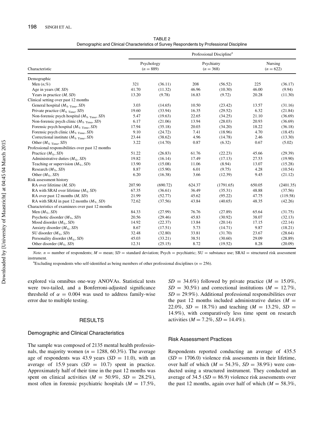TABLE 2 Demographic and Clinical Characteristics of Survey Respondents by Professional Discipline

|                                                         | Professional Discipline <sup>a</sup> |          |                           |           |                        |           |
|---------------------------------------------------------|--------------------------------------|----------|---------------------------|-----------|------------------------|-----------|
| Characteristic                                          | Psychology<br>$(n = 889)$            |          | Psychiatry<br>$(n = 368)$ |           | Nursing<br>$(n = 622)$ |           |
| Demographic                                             |                                      |          |                           |           |                        |           |
| Men $(n, \%)$                                           | 321                                  | (36.11)  | 208                       | (56.52)   | 225                    | (36.17)   |
| Age in years $(M, SD)$                                  | 41.70                                | (11.32)  | 46.96                     | (10.30)   | 46.00                  | (9.94)    |
| Years in practice $(M, SD)$                             | 13.20                                | (9.78)   | 16.83                     | (9.72)    | 20.28                  | (11.30)   |
| Clinical setting over past 12 months                    |                                      |          |                           |           |                        |           |
| General hospital ( $M_{\%}$ Time, SD)                   | 3.03                                 | (14.65)  | 10.50                     | (23.42)   | 13.57                  | (31.16)   |
| Private practice $(M_{\% \text{ Time}}, SD)$            | 19.60                                | (33.94)  | 16.35                     | (29.52)   | 6.32                   | (21.84)   |
| Non-forensic psych hospital $(M_{\% \text{ Time}}, SD)$ | 5.47                                 | (19.63)  | 22.65                     | (34.25)   | 21.10                  | (36.69)   |
| Non-forensic psych clinic ( $M_{\% \text{ Time}}$ , SD) | 6.17                                 | (21.06)  | 13.94                     | (28.03)   | 20.93                  | (36.69)   |
| Forensic psych hospital $(M_{\% \text{ Time}}, SD)$     | 17.94                                | (35.18)  | 20.03                     | (34.20)   | 18.22                  | (36.18)   |
| Forensic psych clinic $(M_{\% \text{ Time}}, SD)$       | 9.10                                 | (24.72)  | 7.41                      | (18.96)   | 4.70                   | (18.45)   |
| Correctional institute ( $M_{\% \text{ Time}}$ , SD)    | 23.44                                | (38.62)  | 4.96                      | (14.78)   | 2.46                   | (13.30)   |
| Other $(M_{\% \ Time}, SD)$                             | 3.22                                 | (14.70)  | 0.87                      | (6.32)    | 0.67                   | (5.02)    |
| Professional responsibilities over past 12 months       |                                      |          |                           |           |                        |           |
| Practice $(M_{\%}, SD)$                                 | 51.22                                | (26.83)  | 61.76                     | (22.23)   | 45.66                  | (29.39)   |
| Administrative duties $(M_{\%}, SD)$                    | 19.82                                | (16.14)  | 17.49                     | (17.13)   | 27.53                  | (19.90)   |
| Teaching or supervision $(M_{\%}, SD)$                  | 13.90                                | (15.08)  | 11.06                     | (8.94)    | 13.07                  | (15.28)   |
| Research $(M_{\%}, SD)$                                 | 8.87                                 | (15.90)  | 6.01                      | (9.75)    | 4.28                   | (10.54)   |
| Other $(M_{\%}, SD)$                                    | 6.20                                 | (16.38)  | 3.66                      | (12.39)   | 9.45                   | (21.12)   |
| Risk assessment history                                 |                                      |          |                           |           |                        |           |
| RA over lifetime $(M, SD)$                              | 207.90                               | (690.72) | 624.37                    | (1791.65) | 650.05                 | (2401.35) |
| RA with SRAI over lifetime $(M_{\%}SD)$                 | 67.35                                | (36.61)  | 36.49                     | (35.31)   | 48.88                  | (37.56)   |
| RA over past 12 months (M, SD)                          | 21.99                                | (52.77)  | 45.62                     | (95.22)   | 47.75                  | (119.58)  |
| RA with SRAI in past 12 months $(M_{\%}$ , SD)          | 72.62                                | (37.56)  | 43.84                     | (40.65)   | 48.35                  | (42.26)   |
| Characteristics of examinees over past 12 months        |                                      |          |                           |           |                        |           |
| Men $(M_{\%}, SD)$                                      | 84.33                                | (27.99)  | 76.76                     | (27.89)   | 65.64                  | (31.75)   |
| Psychotic disorder $(M_{\%}, SD)$                       | 20.56                                | (29.46)  | 45.83                     | (30.92)   | 38.07                  | (32.13)   |
| Mood disorder $(M_{\%}, SD)$                            | 14.92                                | (22.37)  | 13.84                     | (20.14)   | 17.15                  | (22.14)   |
| Anxiety disorder $(M_{\%}, SD)$                         | 8.67                                 | (17.51)  | 5.73                      | (14.71)   | 9.87                   | (18.21)   |
| SU disorder $(M_{\%}, SD)$                              | 32.48                                | (32.80)  | 33.81                     | (31.70)   | 23.67                  | (28.64)   |
| Personality disorder $(M_{\%}, SD)$                     | 45.03                                | (33.21)  | 38.51                     | (30.60)   | 29.09                  | (28.89)   |
| Other disorder $(M_{\%}, SD)$                           | 12.31                                | (25.15)  | 8.72                      | (19.52)   | 8.28                   | (20.09)   |

*Note.*  $n =$  number of respondents;  $M =$  mean;  $SD =$  standard deviation; Psych = psychiatric; SU = substance use; SRAI = structured risk assessment instrument.

<sup>a</sup>Excluding respondents who self-identified as being members of other professional disciplines ( $n = 256$ ).

explored via omnibus one-way ANOVAs. Statistical tests were two-tailed, and a Bonferroni-adjusted significance threshold of  $\alpha = 0.004$  was used to address family-wise error due to multiple testing.

## **RESULTS**

#### Demographic and Clinical Characteristics

The sample was composed of 2135 mental health professionals, the majority women ( $n = 1288, 60.3\%$ ). The average age of respondents was 43.9 years  $(SD = 11.0)$ , with an average of 15.9 years  $(SD = 10.7)$  spent in practice. Approximately half of their time in the past 12 months was spent on clinical activities ( $M = 50.9\%$ ,  $SD = 28.2\%$ ), most often in forensic psychiatric hospitals ( $M = 17.5\%$ ,  $SD = 34.6\%$ ) followed by private practice ( $M = 15.0\%$ ,  $SD = 30.5\%$ ) and correctional institutions ( $M = 12.7\%$ ,  $SD = 29.9\%$ ). Additional professional responsibilities over the past 12 months included administrative duties  $(M =$ 22.0%,  $SD = 18.7\%$ ) and teaching ( $M = 13.2\%$ ,  $SD =$ 14.9%), with comparatively less time spent on research activities ( $M = 7.2\%$ ,  $SD = 14.4\%$ ).

#### Risk Assessment Practices

Respondents reported conducting an average of 435.5  $(SD = 1706.0)$  violence risk assessments in their lifetime, over half of which ( $M = 54.3\%$ ,  $SD = 38.9\%$ ) were conducted using a structured instrument. They conducted an average of 34.5 ( $SD = 86.9$ ) violence risk assessments over the past 12 months, again over half of which ( $M = 58.3\%$ ,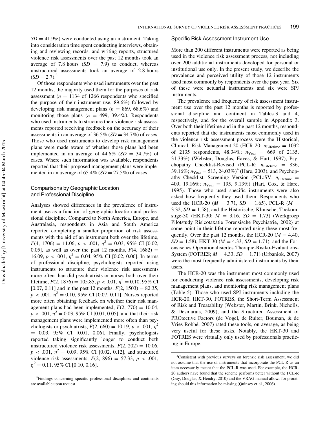$SD = 41.9\%$ ) were conducted using an instrument. Taking into consideration time spent conducting interviews, obtaining and reviewing records, and writing reports, structured violence risk assessments over the past 12 months took an average of 7.8 hours  $(SD = 7.9)$  to conduct, whereas unstructured assessments took an average of 2.8 hours  $(SD = 2.7).$ <sup>3</sup>

Of those respondents who used instruments over the past 12 months, the majority used them for the purposes of risk assessment ( $n = 1134$  of 1266 respondents who specified the purpose of their instrument use, 89.6%) followed by developing risk management plans ( $n = 869, 68.6\%$ ) and monitoring those plans ( $n = 499, 39.4\%$ ). Respondents who used instruments to structure their violence risk assessments reported receiving feedback on the accuracy of their assessments in an average of  $36.5\%$  (SD =  $34.7\%$ ) of cases. Those who used instruments to develop risk management plans were made aware of whether those plans had been implemented in an average of  $44.6\%$  (SD =  $34.7\%$ ) of cases. Where such information was available, respondents reported that their proposed management plans were implemented in an average of 65.4% ( $SD = 27.5\%$ ) of cases.

## Comparisons by Geographic Location and Professional Discipline

Analyses showed differences in the prevalence of instrument use as a function of geographic location and professional discipline. Compared to North America, Europe, and Australasia, respondents in Asia and South America reported completing a smaller proportion of risk assessments with the aid of an instrument both over the lifetime,  $F(4, 1706) = 11.06, p < .001, \eta^2 = 0.03, 95\%$  CI [0.02, 0.05], as well as over the past 12 months,  $F(4, 1682) =$ 16.09,  $p < .001$ ,  $\eta^2 = 0.04$ , 95% CI [0.02, 0.06]. In terms of professional discipline, psychologists reported using instruments to structure their violence risk assessments more often than did psychiatrists or nurses both over their lifetime,  $F(2, 1876) = 105.85, p < .001, \eta^2 = 0.10, 95\%$  CI  $[0.07, 0.11]$  and in the past 12 months,  $F(2, 1503) = 82.35$ ,  $p < .001$ ,  $\eta^2 = 0.10$ , 95% CI [0.07, 0.11]. Nurses reported more often obtaining feedback on whether their risk management plans had been implemented,  $F(2, 770) = 10.04$ ,  $p < .001$ ,  $\eta^2 = 0.03$ , 95% CI [0.01, 0.05], and that their risk management plans were implemented more often than psychologists or psychiatrists,  $F(2, 660) = 10.19, p < .001, \eta^2$  $= 0.03$ , 95% CI [0.01, 0.06]. Finally, psychologists reported taking significantly longer to conduct both unstructured violence risk assessments,  $F(2, 202) = 10.06$ ,  $p < .001$ ,  $\eta^2 = 0.09$ , 95% CI [0.02, 0.12], and structured violence risk assessments,  $F(2, 896) = 57.33$ ,  $p < .001$ ,  $n^2 = 0.11$ , 95% CI [0.10, 0.16].

#### Specific Risk Assessment Instrument Use

More than 200 different instruments were reported as being used in the violence risk assessment process, not including over 200 additional instruments developed for personal or institutional use only. In the present study, we describe the prevalence and perceived utility of those 12 instruments used most commonly by respondents over the past year. Six of these were actuarial instruments and six were SPJ instruments.

The prevalence and frequency of risk assessment instrument use over the past 12 months is reported by professional discipline and continent in Tables 3 and 4, respectively, and for the overall sample in Appendix 3. Over both their lifetime and in the past 12 months, respondents reported that the instruments most commonly used in the violence risk assessment process were the Historical, Clinical, Risk Management-20 (HCR-20;  $n_{\text{Lifetime}} = 1032$ of 2135 respondents, 48.34%;  $n_{Year} = 669$  of 2135, 31.33%) (Webster, Douglas, Eaves, & Hart, 1997), Psychopathy Checklist-Revised (PCL-R;  $n_{\text{Lifetime}} = 836$ , 39.16%;  $n_{\text{Year}} = 513, 24.03\%)^4$  (Hare, 2003), and Psychopathy Checklist: Screening Version (PCL:SV;  $n_{\text{Lifetime}} =$ 409, 19.16%;  $n_{\text{Year}} = 195, 9.13\%$  (Hart, Cox, & Hare, 1995). Those who used specific instruments were also asked how frequently they used them. Respondents who used the HCR-20 ( $M = 3.71$ ,  $SD = 1.65$ ), PCL-R ( $M =$ 3.32,  $SD = 1.58$ ), and the Historische, Klinische, Toekomstige-30 (HKT-30;  $M = 3.16$ ,  $SD = 1.73$ ) (Werkgroep Pilotstudy Risicotaxatie Forensische Psychiatrie, 2002) at some point in their lifetime reported using these most frequently. Over the past 12 months, the HCR-20 ( $M = 4.40$ ,  $SD = 1.58$ ), HKT-30 ( $M = 4.33$ ,  $SD = 1.71$ ), and the Forensisches Operationalisiertes Therapie-Risiko-Evaluations-System (FOTRES;  $M = 4.33$ ,  $SD = 1.71$ ) (Urbaniok, 2007) were the most frequently administered instruments by their users.

The HCR-20 was the instrument most commonly used for conducting violence risk assessments, developing risk management plans, and monitoring risk management plans (Table 5). Those who used SPJ instruments including the HCR-20, HKT-30, FOTRES, the Short-Term Assessment of Risk and Treatability (Webster, Martin, Brink, Nicholls, & Desmarais, 2009), and the Structured Assessment of PROtective Factors (de Vogel, de Ruiter, Bouman, & de Vries Robbé, 2007) rated these tools, on average, as being very useful for these tasks. Notably, the HKT-30 and FOTRES were virtually only used by professionals practicing in Europe.

<sup>&</sup>lt;sup>3</sup>Findings concerning specific professional disciplines and continents are available upon request.

<sup>4</sup> Consistent with previous surveys on forensic risk assessment, we did not assume that the use of instruments that incorporate the PCL-R as an item necessarily meant that the PCL-R was used. For example, the HCR-20 authors have found that the scheme performs better without the PCL-R (Guy, Douglas, & Hendry, 2010) and the VRAG manual allows for prorating should this information be missing (Quinsey et al., 2006).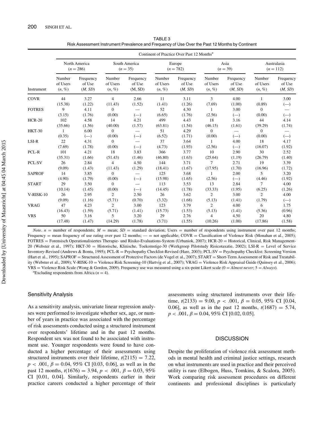TABLE 3 Risk Assessment Instrument Prevalence and Frequency of Use Over the Past 12 Months by Continent

|               | Continent of Practice Over Past 12 Months <sup>a</sup> |                |                          |                                   |                |                |                        |                                   |                          |                                   |
|---------------|--------------------------------------------------------|----------------|--------------------------|-----------------------------------|----------------|----------------|------------------------|-----------------------------------|--------------------------|-----------------------------------|
|               | North America                                          |                | South America            |                                   | Europe         |                | Asia                   |                                   | Australasia              |                                   |
|               | $(n = 286)$                                            |                | $(n = 35)$               |                                   | $(n = 782)$    |                | $(n = 39)$             |                                   | $(n = 112)$              |                                   |
| Instrument    | Number                                                 | Frequency      | Number                   | Frequency                         | Number         | Frequency      | Number                 | Frequency                         | Number                   | Frequency                         |
|               | of Users                                               | of Use         | of Users                 | of Use                            | of Users       | of Use         | of Users               | of Use                            | of Users                 | of Use                            |
|               | $(n, \%)$                                              | (M, SD)        | (n, %)                   | (M, SD)                           | $(n, \%)$      | (M, SD)        | $(n, \%)$              | (M, SD)                           | $(n, \%)$                | (M, SD)                           |
| <b>COVR</b>   | 44                                                     | 3.27           | $\overline{4}$           | 2.66                              | 11             | 3.11           | 3                      | 4.00                              | $\mathbf{1}$             | 3.00                              |
|               | (15.38)                                                | (1.22)         | (11.43)                  | (1.52)                            | (1.41)         | (1.26)         | (7.69)                 | (1.00)                            | (0.89)                   | $(-)$                             |
| <b>FOTRES</b> | 9<br>(3.15)                                            | 4.11<br>(1.76) | $\overline{0}$<br>(0.00) | $\overline{\phantom{0}}$<br>$(-)$ | 52<br>(6.65)   | 4.30<br>(1.76) | (2.56)                 | 3.00<br>$(-)$                     | $\overline{0}$<br>(0.00) | $\overline{\phantom{m}}$<br>$(-)$ |
| $HCR-20$      | 102                                                    | 4.58           | 14                       | 4.21                              | 499            | 4.43           | 18                     | 3.16                              | 44                       | 4.14                              |
|               | (35.66)                                                | (1.56)         | (40.00)                  | (1.57)                            | (63.81)        | (1.54)         | (46.15)                | (1.61)                            | (39.29)                  | (1.74)                            |
| <b>HKT-30</b> | 1<br>(0.35)                                            | 6.00<br>$(-)$  | $\Omega$<br>(0.00)       | $\overline{\phantom{0}}$<br>$(-)$ | 51<br>(6.52)   | 4.29<br>(1.71) | $\mathbf{0}$<br>(0.00) | $\overline{\phantom{0}}$<br>$(-)$ | $\Omega$<br>(0.00)       | $\left( \rightarrow \right)$      |
| LSI-R         | 22<br>(7.69)                                           | 4.31<br>(1.78) | $\Omega$<br>(0.00)       | $(-)$                             | 37<br>(4.73)   | 3.64<br>(1.93) | (2.56)                 | 4.00<br>$(-)$                     | 18<br>(16.07)            | 4.17<br>(1.92)                    |
| PCL-R         | 101                                                    | 4.21           | 18                       | 3.83                              | 366            | 3.77           | 10                     | 2.90                              | 30                       | 2.52                              |
|               | (35.31)                                                | (1.66)         | (51.43)                  | (1.46)                            | (46.80)        | (1.63)         | (25.64)                | (1.19)                            | (26.79)                  | (1.40)                            |
| PCL:SV        | 26                                                     | 2.84           | $\overline{4}$           | 4.50                              | 144            | 3.71           | 7                      | 2.71                              | 19                       | 3.39                              |
|               | (9.09)                                                 | (1.43)         | (11.43)                  | (1.29)                            | (18.41)        | (1.67)         | (17.95)                | (1.70)                            | (16.96)                  | (1.72)                            |
| <b>SAPROF</b> | 14<br>(4.90)                                           | 3.85<br>(1.79) | $\mathbf{0}$<br>(0.00)   | $(-)$                             | 125<br>(15.98) | 3.68<br>(1.65) | (2.56)                 | 2.00<br>$(-)$                     | 5<br>(4.46)              | 3.20<br>(1.92)                    |
| <b>START</b>  | 29                                                     | 3.50           | $\Omega$                 | $\overline{\phantom{0}}$          | 113            | 3.53           | 13                     | 2.84                              | 7                        | 4.00                              |
|               | (10.14)                                                | (1.45)         | (0.00)                   | $(-)$                             | (14.45)        | (1.78)         | (33.33)                | (1.95)                            | (6.25)                   | (1.26)                            |
| V-RISK-10     | 26                                                     | 2.95           | 2                        | 2.50                              | 26             | 3.62           | $\overline{c}$         | 3.00                              | $\overline{2}$           | 4.00                              |
|               | (9.09)                                                 | (1.16)         | (5.71)                   | (0.70)                            | (3.32)         | (1.68)         | (5.13)                 | (1.41)                            | (1.79)                   | $(-)$                             |
| <b>VRAG</b>   | 47                                                     | 4.23           | 2                        | 3.00                              | 123            | 3.79           | $\overline{c}$         | 4.00                              | 6                        | 1.75                              |
|               | (16.43)                                                | (1.59)         | (5.71)                   | (1.41)                            | (15.73)        | (1.53)         | (5.13)                 | (1.41)                            | (5.36)                   | (0.96)                            |
| <b>VRS</b>    | 50                                                     | 3.16           | 5                        | 3.20                              | 29             | 2.76           | $\overline{4}$         | 4.50                              | 20                       | 4.80                              |
|               | (17.48)                                                | (1.47)         | (14.29)                  | (1.78)                            | (3.71)         | (1.55)         | (10.26)                | (1.00)                            | (17.86)                  | (1.58)                            |

*Note.*  $n =$  number of respondents;  $M =$  mean;  $SD =$  standard deviation; Users  $=$  number of respondents using instrument over past 12 months; Frequency = mean frequency of use rating over past 12 months;  $-$  = not applicable; COVR = Classification of Violence Risk (Monahan et al., 2005); FOTRES = Forensisch Operationalisiertes Therapie- und Risiko-Evaluations-System (Urbaniok, 2007); HCR-20 = Historical, Clinical, Risk Management-20 (Webster et al., 1997); HKT-30 = Historische, Klinische, Toekomstige-30 (Werkgroep Pilotstudy Risicotaxatie, 2002); LSI-R = Level of Service Inventory-Revised (Andrews & Bonta, 1995); PCL-R = Psychopathy Checklist-Revised (Hare, 2003); PCL:SV = Psychopathy Checklist: Screening Version (Hart et al., 1995); SAPROF = Structured Assessment of Protective Factors (de Vogel et al., 2007); START = Short-Term Assessment of Risk and Treatability (Webster et al., 2009); V-RISK-10 = Violence Risk Screening-10 (Hartvig et al., 2007); VRAG = Violence Risk Appraisal Guide (Quinsey et al., 2006); VRS = Violence Risk Scale (Wong & Gordon, 2009). Frequency use was measured using a six-point Likert scale (0 = Almost never;  $5 =$  Always).

<sup>a</sup>Excluding respondents from Africa ( $n = 4$ ).

#### Sensitivity Analysis

As a sensitivity analysis, univariate linear regression analyses were performed to investigate whether sex, age, or number of years in practice was associated with the percentage of risk assessments conducted using a structured instrument over respondents' lifetime and in the past 12 months. Respondent sex was not found to be associated with instrument use. Younger respondents were found to have conducted a higher percentage of their assessments using structured instruments over their lifetime,  $t(2115) = 7.22$ ,  $p < .001$ ,  $\beta = 0.04$ , 95% CI [0.03, 0.06], as well as in the past 12 months,  $t(1676) = 3.94$ ,  $p < .001$ ,  $\beta = 0.03$ , 95% CI [0.01, 0.04]. Similarly, respondents earlier in their practice careers conducted a higher percentage of their assessments using structured instruments over their lifetime,  $t(2133) = 9.00$ ,  $p < .001$ ,  $\beta = 0.05$ , 95% CI [0.04, 0.06], as well as in the past 12 months,  $t(1687) = 5.74$ ,  $p < .001, \beta = 0.04, 95\%$  CI [0.02, 0.05].

## **DISCUSSION**

Despite the proliferation of violence risk assessment methods in mental health and criminal justice settings, research on what instruments are used in practice and their perceived utility is rare (Elbogen, Huss, Tomkins, & Scalora, 2005). Work comparing risk assessment procedures on different continents and professional disciplines is particularly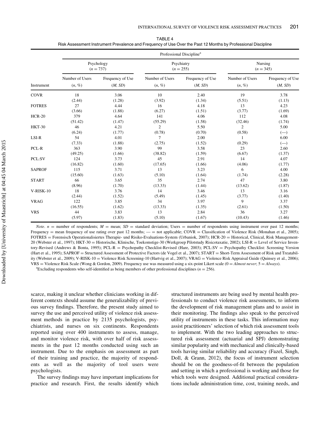| TARI F 4                                                                                                      |  |
|---------------------------------------------------------------------------------------------------------------|--|
| Risk Assessment Instrument Prevalence and Frequency of Use Over the Past 12 Months by Professional Discipline |  |

|               | Professional Discipline <sup>a</sup> |                  |                 |                           |                        |                              |  |  |  |
|---------------|--------------------------------------|------------------|-----------------|---------------------------|------------------------|------------------------------|--|--|--|
|               | Psychology<br>$(n = 737)$            |                  |                 | Psychiatry<br>$(n = 255)$ | Nursing<br>$(n = 345)$ |                              |  |  |  |
|               | Number of Users                      | Frequency of Use | Number of Users | Frequency of Use          | Number of Users        | Frequency of Use             |  |  |  |
| Instrument    | $(n,\, \%)$                          | (M, SD)          | $(n, %$         | (M, SD)                   | (n, %)                 | (M, SD)                      |  |  |  |
| COVR          | 18                                   | 3.06             | 10              | 2.40                      | 19                     | 3.78                         |  |  |  |
|               | (2.44)                               | (1.28)           | (3.92)          | (1.34)                    | (5.51)                 | (1.13)                       |  |  |  |
| <b>FOTRES</b> | 27                                   | 4.44             | 16              | 4.18                      | 13                     | 4.23                         |  |  |  |
|               | (3.66)                               | (1.88)           | (6.27)          | (1.51)                    | (3.77)                 | (1.69)                       |  |  |  |
| <b>HCR-20</b> | 379                                  | 4.64             | 141             | 4.06                      | 112                    | 4.08                         |  |  |  |
|               | (51.42)                              | (1.47)           | (55.29)         | (1.58)                    | (32.46)                | (1.74)                       |  |  |  |
| <b>HKT-30</b> | 46                                   | 4.21             | $\overline{c}$  | 5.50                      | $\mathbf{2}$           | 5.00                         |  |  |  |
|               | (6.24)                               | (1.77)           | (0.78)          | (0.70)                    | (0.58)                 | $\left( \rightarrow \right)$ |  |  |  |
| LSI-R         | 54                                   | 4.01             | 7               | 2.00                      | 1                      | 6.00                         |  |  |  |
|               | (7.33)                               | (1.88)           | (2.75)          | (1.52)                    | (0.29)                 | $(-)$                        |  |  |  |
| PCL-R         | 363                                  | 3.90             | 99              | 3.58                      | 23                     | 2.60                         |  |  |  |
|               | (49.25)                              | (1.66)           | (38.82)         | (1.59)                    | (6.67)                 | (1.37)                       |  |  |  |
| PCL:SV        | 124                                  | 3.73             | 45              | 2.91                      | 14                     | 4.07                         |  |  |  |
|               | (16.82)                              | (1.60)           | (17.65)         | (1.66)                    | (4.06)                 | (1.77)                       |  |  |  |
| <b>SAPROF</b> | 115                                  | 3.71             | 13              | 3.23                      | 6                      | 4.00                         |  |  |  |
|               | (15.60)                              | (1.63)           | (5.10)          | (1.64)                    | (1.74)                 | (2.28)                       |  |  |  |
| <b>START</b>  | 66                                   | 3.65             | 35              | 2.74                      | 47                     | 3.80                         |  |  |  |
|               | (8.96)                               | (1.70)           | (13.33)         | (1.44)                    | (13.62)                | (1.87)                       |  |  |  |
| V-RISK-10     | 18                                   | 3.76             | 14              | 3.46                      | 13                     | 3.16                         |  |  |  |
|               | (2.44)                               | (1.52)           | (5.49)          | (1.45)                    | (3.77)                 | (1.40)                       |  |  |  |
| <b>VRAG</b>   | 122                                  | 3.85             | 34              | 3.97                      | 9                      | 3.37                         |  |  |  |
|               | (16.55)                              | (1.62)           | (13.33)         | (1.35)                    | (2.61)                 | (1.50)                       |  |  |  |
| <b>VRS</b>    | 44                                   | 3.83             | 13              | 2.84                      | 36                     | 3.27                         |  |  |  |
|               | (5.97)                               | (1.83)           | (5.10)          | (1.67)                    | (10.43)                | (1.46)                       |  |  |  |

*Note.*  $n =$  number of respondents;  $M =$  mean;  $SD =$  standard deviation; Users  $=$  number of respondents using instrument over past 12 months; Frequency = mean frequency of use rating over past 12 months;  $-$  = not applicable; COVR = Classification of Violence Risk (Monahan et al., 2005); FOTRES = Forensisch Operationalisiertes Therapie- und Risiko-Evaluations-System (Urbaniok, 2007); HCR-20 = Historical, Clinical, Risk Management-20 (Webster et al., 1997); HKT-30 = Historische, Klinische, Toekomstige-30 (Werkgroep Pilotstudy Risicotaxatie, 2002); LSI-R = Level of Service Inventory-Revised (Andrews & Bonta, 1995); PCL-R = Psychopathy Checklist-Revised (Hare, 2003); PCL:SV = Psychopathy Checklist: Screening Version (Hart et al., 1995); SAPROF = Structured Assessment of Protective Factors (de Vogel et al., 2007); START = Short-Term Assessment of Risk and Treatability (Webster et al., 2009); V-RISK-10 = Violence Risk Screening-10 (Hartvig et al., 2007); VRAG = Violence Risk Appraisal Guide (Quinsey et al., 2006); VRS = Violence Risk Scale (Wong & Gordon, 2009). Frequency use was measured using a six-point Likert scale (0 = Almost never;  $5 = Always$ ).

<sup>a</sup>Excluding respondents who self-identified as being members of other professional disciplines ( $n = 256$ ).

scarce, making it unclear whether clinicians working in different contexts should assume the generalizability of previous survey findings. Therefore, the present study aimed to survey the use and perceived utility of violence risk assessment methods in practice by 2135 psychologists, psychiatrists, and nurses on six continents. Respondents reported using over 400 instruments to assess, manage, and monitor violence risk, with over half of risk assessments in the past 12 months conducted using such an instrument. Due to the emphasis on assessment as part of their training and practice, the majority of respondents as well as the majority of tool users were psychologists.

The survey findings may have important implications for practice and research. First, the results identify which structured instruments are being used by mental health professionals to conduct violence risk assessments, to inform the development of risk management plans and to assist in their monitoring. The findings also speak to the perceived utility of instruments in these tasks. This information may assist practitioners' selection of which risk assessment tools to implement. With the two leading approaches to structured risk assessment (actuarial and SPJ) demonstrating similar popularity and with mechanical and clinically-based tools having similar reliability and accuracy (Fazel, Singh, Doll, & Grann, 2012), the focus of instrument selection should be on the goodness-of-fit between the population and setting in which a professional is working and those for which tools were designed. Additional practical considerations include administration time, cost, training needs, and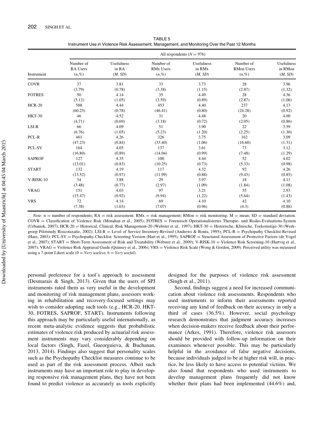|               | All respondents $(N = 976)$        |                                |                                            |                                             |                                             |                                  |  |  |
|---------------|------------------------------------|--------------------------------|--------------------------------------------|---------------------------------------------|---------------------------------------------|----------------------------------|--|--|
| Instrument    | Number of<br>RA Users<br>$(n, \%)$ | Usefulness<br>in RA<br>(M, SD) | Number of<br><b>RMx Users</b><br>$(n, \%)$ | Usefulness<br>in RM <sub>x</sub><br>(M, SD) | Number of<br><b>RMon Users</b><br>$(n, \%)$ | Usefulness<br>in RMon<br>(M, SD) |  |  |
| COVR          | 37                                 | 3.81                           | 33                                         | 3.73                                        | 28                                          | 3.96                             |  |  |
|               | (3.79)                             | (0.78)                         | (3.38)                                     | (1.15)                                      | (2.87)                                      | (1.32)                           |  |  |
| <b>FOTRES</b> | 50                                 | 4.14                           | 35                                         | 4.49                                        | 28                                          | 4.36                             |  |  |
|               | (5.12)                             | (1.05)                         | (3.59)                                     | (0.89)                                      | (2.87)                                      | (1.06)                           |  |  |
| <b>HCR-20</b> | 588                                | 4.44                           | 453                                        | 4.40                                        | 237                                         | 4.13                             |  |  |
|               | (60.25)                            | (0.78)                         | (46.41)                                    | (0.80)                                      | (24.28)                                     | (0.92)                           |  |  |
| <b>HKT-30</b> | 46                                 | 4.52                           | 31                                         | 4.48                                        | 20                                          | 4.00                             |  |  |
|               | (4,71)                             | (0.69)                         | (3.18)                                     | (0.72)                                      | (2.05)                                      | (0.86)                           |  |  |
| LSI-R         | 66                                 | 4.09                           | 51                                         | 3.90                                        | 22                                          | 3.59                             |  |  |
|               | (6.76)                             | (1.05)                         | (5.23)                                     | (1.20)                                      | (2.25)                                      | (1.30)                           |  |  |
| PCL-R         | 461                                | 4.26                           | 326                                        | 3.75                                        | 162                                         | 3.09                             |  |  |
|               | (47.23)                            | (0.84)                         | (33.40)                                    | (1.06)                                      | (16.60)                                     | (1.31)                           |  |  |
| PCL:SV        | 164                                | 4.05                           | 137                                        | 3.61                                        | 73                                          | 3.12                             |  |  |
|               | (16.80)                            | (0.89)                         | (14.04)                                    | (0.99)                                      | (7.48)                                      | (1.29)                           |  |  |
| <b>SAPROF</b> | 127                                | 4.35                           | 100                                        | 4.44                                        | 52                                          | 4.02                             |  |  |
|               | (13.01)                            | (0.83)                         | (10.25)                                    | (0.73)                                      | (5.33)                                      | (0.98)                           |  |  |
| START         | 132                                | 4.19                           | 117                                        | 4.32                                        | 92                                          | 4.26                             |  |  |
|               | (13.52)                            | (0.97)                         | (11.99)                                    | (0.88)                                      | (9.43)                                      | (0.85)                           |  |  |
| V-RISK-10     | 34                                 | 3.88                           | 29                                         | 3.97                                        | 18                                          | 4.11                             |  |  |
|               | (3.48)                             | (0.77)                         | (2.97)                                     | (1.09)                                      | (1.84)                                      | (1.08)                           |  |  |
| VRAG          | 151                                | 4.03                           | 97                                         | 3.21                                        | 55                                          | 2.93                             |  |  |
|               | (15.47)                            | (0.92)                         | (9.94)                                     | (1.22)                                      | (5.64)                                      | (1.43)                           |  |  |
| <b>VRS</b>    | 72                                 | 4.14                           | 69                                         | 4.10                                        | 42                                          | 4.10                             |  |  |
|               | (7.38)                             | (1.03)                         | (7.07)                                     | (0.96)                                      | (4.3)                                       | (0.88)                           |  |  |

TABLE 5 Instrument Use in Violence Risk Assessment, Management, and Monitoring Over the Past 12 Months

*Note.* n = number of respondents; RA = risk assessment; RMx = risk management; RMon = risk monitoring; M = mean; SD = standard deviation. COVR = Classification of Violence Risk (Monahan et al., 2005); FOTRES = Forensisch Operationalisiertes Therapie- und Risiko-Evaluations-System (Urbaniok, 2007); HCR-20 = Historical, Clinical, Risk Management-20 (Webster et al., 1997); HKT-30 = Historische, Klinische, Toekomstige-30 (Werkgroep Pilotstudy Risicotaxatie, 2002); LSI-R = Level of Service Inventory-Revised (Andrews & Bonta, 1995); PCL-R = Psychopathy Checklist-Revised (Hare, 2003); PCL:SV = Psychopathy Checklist: Screening Version (Hart et al., 1995); SAPROF = Structured Assessment of Protective Factors (de Vogel et al., 2007); START = Short-Term Assessment of Risk and Treatability (Webster et al., 2009); V-RISK-10 = Violence Risk Screening-10 (Hartvig et al., 2007); VRAG = Violence Risk Appraisal Guide (Quinsey et al., 2006); VRS = Violence Risk Scale (Wong & Gordon, 2009). Perceived utility was measured using a 7-point Likert scale  $(0 = Very$  useless;  $6 = Very$  useful).

personal preference for a tool's approach to assessment (Desmarais & Singh, 2013). Given that the users of SPJ instruments rated them as very useful in the development and monitoring of risk management plans, assessors working in rehabilitation and recovery-focused settings may wish to consider adopting such tools (e.g., HCR-20, HKT-30, FOTRES, SAPROF, START). Instruments following this approach may be particularly useful internationally, as recent meta-analytic evidence suggests that probabilistic estimates of violence risk produced by actuarial risk assessment instruments may vary considerably depending on local factors (Singh, Fazel, Gueorguieva, & Buchanan, 2013, 2014). Findings also suggest that personality scales such as the Psychopathy Checklist measures continue to be used as part of the risk assessment process. Albeit such instruments may have an important role to play in developing responsive risk management plans, they have not been found to predict violence as accurately as tools explicitly designed for the purposes of violence risk assessment (Singh et al., 2011).

Second, findings suggest a need for increased communication about violence risk assessments. Respondents who used instruments to inform their assessments reported receiving any kind of feedback on their accuracy in only a third of cases (36.5%). However, social psychology research demonstrates that judgment accuracy increases when decision-makers receive feedback about their performance (Arkes, 1991). Therefore, violence risk assessors should be provided with follow-up information on their examinees whenever possible. This may be particularly helpful in the avoidance of false negative decisions, because individuals judged to be at higher risk will, in practice, be less likely to have access to potential victims. We also found that respondents who used instruments to develop management plans frequently did not know whether their plans had been implemented (44.6%) and,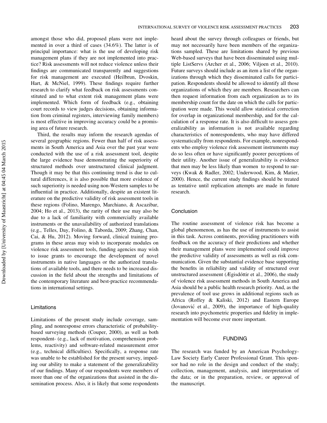amongst those who did, proposed plans were not implemented in over a third of cases (34.6%). The latter is of principal importance: what is the use of developing risk management plans if they are not implemented into practice? Risk assessments will not reduce violence unless their findings are communicated transparently and suggestions for risk management are executed (Heilbrun, Dvoskin, Hart, & McNiel, 1999). These findings require further research to clarify what feedback on risk assessments constituted and to what extent risk management plans were implemented. Which form of feedback (e.g., obtaining court records to view judges decisions, obtaining information from criminal registers, interviewing family members) is most effective in improving accuracy could be a promising area of future research.

Third, the results may inform the research agendas of several geographic regions. Fewer than half of risk assessments in South America and Asia over the past year were conducted with the use of a risk assessment tool, despite the large evidence base demonstrating the superiority of structured methods over unstructured clinical judgment. Though it may be that this continuing trend is due to cultural differences, it is also possible that more evidence of such superiority is needed using non-Western samples to be influential in practice. Additionally, despite an existent literature on the predictive validity of risk assessment tools in these regions (Folino, Marengo, Marchiano, & Ascazibar, 2004; Ho et al., 2013), the rarity of their use may also be due to a lack of familiarity with commercially available instruments or the unavailability of authorized translations (e.g., Telles, Day, Folino, & Taborda, 2009; Zhang, Chan, Cai, & Hu, 2012). Moving forward, clinical training programs in these areas may wish to incorporate modules on violence risk assessment tools, funding agencies may wish to issue grants to encourage the development of novel instruments in native languages or the authorized translations of available tools, and there needs to be increased discussion in the field about the strengths and limitations of the contemporary literature and best-practice recommendations in international settings.

#### Limitations

Limitations of the present study include coverage, sampling, and nonresponse errors characteristic of probabilitybased surveying methods (Couper, 2000), as well as both respondent- (e.g., lack of motivation, comprehension problems, reactivity) and software-related measurement error (e.g., technical difficulties). Specifically, a response rate was unable to be established for the present survey, impeding our ability to make a statement of the generalizability of our findings. Many of our respondents were members of more than one of the organizations that assisted in the dissemination process. Also, it is likely that some respondents heard about the survey through colleagues or friends, but may not necessarily have been members of the organizations sampled. These are limitations shared by previous Web-based surveys that have been disseminated using multiple ListServs (Archer et al., 2006; Viljoen et al., 2010). Future surveys should include as an item a list of the organizations through which they disseminated calls for participation. Respondents should be allowed to identify all those organizations of which they are members. Researchers can then request information from each organization as to its membership count for the date on which the calls for participation were made. This would allow statistical correction for overlap in organizational membership, and for the calculation of a response rate. It is also difficult to assess generalizability as information is not available regarding characteristics of nonrespondents, who may have differed systematically from respondents. For example, nonrespondents who employ violence risk assessment instruments may do so less often or have significantly poorer perceptions of their utility. Another issue of generalizability is evidence that men may be less likely than women to respond to surveys (Kwak & Radler, 2002; Underwood, Kim, & Matier, 2000). Hence, the current study findings should be treated as tentative until replication attempts are made in future research.

### Conclusion

The routine assessment of violence risk has become a global phenomenon, as has the use of instruments to assist in this task. Across continents, providing practitioners with feedback on the accuracy of their predictions and whether their management plans were implemented could improve the predictive validity of assessments as well as risk communication. Given the substantial evidence base supporting the benefits in reliability and validity of structured over unstructured assessment (Ægisdottir et al., 2006), the study of violence risk assessment methods in South America and Asia should be a public health research priority. And, as the prevalence of tool use grows in additional regions such as Africa (Roffey & Kaliski, 2012) and Eastern Europe (Jovanovic et al., 2009), the importance of high-quality research into psychometric properties and fidelity in implementation will become ever more important.

#### FUNDING

The research was funded by an American Psychology-Law Society Early Career Professional Grant. This sponsor had no role in the design and conduct of the study; collection, management, analysis, and interpretation of the data; or in the preparation, review, or approval of the manuscript.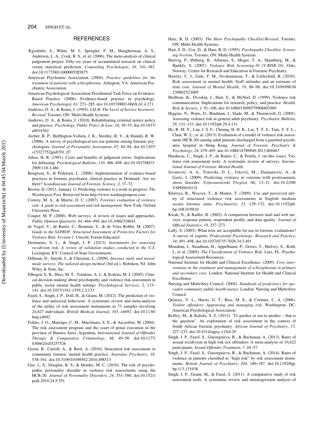### **REFERENCES**

- Ægisdottir, S., White, M. J., Spengler, P. M., Maugherman, A. S., Anderson, L. A., Cook, R. S., et al. (2006). The meta-analysis of clinical judgement project: Fifty-six years of accumulated research on clinical versus statistical prediction. Counseling Psychologist, 34, 341–382. doi:10.1177/0011000005285875
- American Psychiatric Association. (2004). Practice guidelines for the treatment of patients with schizophrenia. Arlington, VA: American Psychiatric Association.
- American Psychological Association Presidential Task Force on Evidence-Based Practice. (2006). Evidence-based practice in psychology. American Psychologist, 61, 271–285. doi:10.1037/0003-066X.61.4.271
- Andrews, D. A., & Bonta, J. (1995). LSI-R: The Level of Service Inventory-Revised. Toronto, ON: Multi-Health Systems.
- Andrews, D. A., & Bonta, J. (2010). Rehabilitating criminal justice policy and practice. Psychology, Public Policy & Law, 16, 39–55. doi:10.1037/ a0018362
- Archer, R. P., Buffington-Vollum, J. K., Stredny, R. V., & Handel, R. W. (2006). A survey of psychological test use patterns among forensic psychologists. Journal of Personality Assessment, 87, 84–94. doi:10.1207/ s15327752jpa8701\_07
- Arkes, H. R. (1991). Costs and benefits of judgment errors: Implications for debiasing. Psychological Bulletin, 110, 486–498. doi:10.1037/0033- 2909.110.3.486
- Bengtson, S., & Pedersen, L. (2008). Implementation of evidence-based practices in forensic psychiatric clinical practice in Denmark: Are we there? Scandinavian Journal of Forensic Science, 2, 37–72.
- Brown, D. (2013, January 3). Predicting violence is a work in progress. The Washington Post. Retrieved from<http://www.washingtonpost.com>
- Conroy, M. A., & Murrie, D. C. (2007). Forensic evaluation of violence risk: A guide to risk assessment and risk management. New York: Oxford University Press.
- Couper, M. P. (2000). Web surveys: A review of issues and approaches. Public Opinion Quarterly, 64, 464–494. doi:10.1086/318641
- de Vogel, V., de Ruiter, C., Bouman, Y., & de Vries Robbe, M. (2007). Guide to the SAPROF. Structured Assessment of Protective Factors for Violence Risk. Version 1. Utrecht: Forum Educatief.
- Desmarais, S. L., & Singh, J. P. (2013). Instruments for assessing recidivism risk: A review of validation studies conducted in the U.S. Lexington, KY: Council of State Governments.
- Dillman, D., Smyth, J., & Christian, L. (2009). Internet, mail, and mixedmode surveys: The tailored design method (3rd ed.). Hoboken, NJ: John Wiley & Sons, Inc.
- Elbogen, E. B., Huss, M. T., Tomkins, A. J., & Scalora, M. J. (2005). Clinical decision-making about psychopathy and violence risk assessment in public sector mental health settings. Psychological Services, 2, 133– 141. doi:10.1037/1541-1559.2.2.133
- Fazel, S., Singh, J. P., Doll, H., & Grann, M. (2012). The prediction of violence and antisocial behaviour: A systematic review and meta-analysis of the utility of risk assessment instruments in 73 samples involving 24,827 individuals. British Medical Journal, 345, e4692. doi:10.1136/ bmj.e4692
- Folino, J. O., Marengo, C. M., Marchiano, S. E., & Ascazibar, M. (2004). The risk assessment program and the court of penal execution in the province of Buenos Aires, Argentina. International Journal of Offender Therapy & Comparative Criminology, 48, 49–58. doi:10.1177/ 0306624x03257526
- Green, B., Carroll, A., & Brett, A. (2010). Structured risk assessment in community forensic mental health practice. Australas Psychiatry, 18, 538–541. doi:10.3109/10398562.2010.498513
- Guy, L. S., Douglas, K. S., & Hendry, M. C. (2010). The role of psychopathic personality disorder in violence risk assessments using the HCR-20. Journal of Personality Disorders, 24, 551–580. doi:10.1521/ pedi.2010.24.5.551
- Hare, R. D. (2003). The Hare Psychopathy Checklist-Revised. Toronto, ON: Multi-Health Systems.
- Hart, S. D., Cox, D., & Hare, R. D. (1995). Psychopathy Checklist: Screening Version. Toronto, ON: Multi-Health Systems.
- Hartvig, P., Østberg, B., Alfarnes, S., Moger, T. A., Skjønberg, M., & Bjørkly, S. (2007). Violence Risk Screening-10 (V-RISK-10). Oslo, Norway: Centre for Research and Education in Forensic Psychiatry.
- Hawley, C. J., Gale, T. M., Sivakumaran, T., & Littlechild, B. (2010). Risk assessment in mental health: Staff attitudes and an estimate of time cost. Journal of Mental Health, 19, 88–98. doi:10.3109/09638 230802523005
- Heilbrun, K., Dvoskin, J., Hart, S., & McNiel, D. (1999). Violence risk communication: Implications for research, policy, and practice. Health, Risk & Society, 1, 91–106. doi:10.1080/13698579908407009
- Higgins, N., Watts, D., Bindman, J., Slade, M., & Thornicroft, G. (2005). Assessing violence risk in general adult psychiatry. Psychiatric Bulletin, 29, 131–133. doi:10.1192/pb.29.4.131
- Ho, R. M. Y., Lau, J. S. F., Cheung, H. H. K., Lai, T. T. S., Tam, V. F. L., Chan, W. L., et al. (2013). Evaluation of a model of violence risk assessment (HCR-20) among adult patients discharged from a gazetted psychiatric hospital in Hong Kong. Journal of Forensic Psychiatry & Psychology, 24, 479–495. doi:10.1080/14789949.2013.809467
- Hurducas, C., Singh, J. P., de Ruiter, C., & Petrila, J. (in this issue). Violence risk assessment tools: A systematic review of surveys. International Journal of Forensic Mental Health.
- Jovanovic, A. A., Tosevski, D. L., Ivkovic, M.., Damjanovic, A., & Gasic, J. (2009). Predicting violence in veterans with posttraumatic stress disorder. Vojnosanitetski Pregled, 66, 13–21. doi:10.2298/ VSP0901013J
- Khiroya, R., Weaver, T., & Maden, T. (2009). Use and perceived utility of structured violence risk assessments in English medium secure forensic units. Psychiatrist, 33, 129-132. doi:10.1192/pb. bp.108.019810
- Kwak, N., & Radler, B. (2002). A comparison between mail and web surveys: response pattern, respondent profile, and data quality. Journal of Official Statistics, 18, 257–273.
- Lally, S. (2003). What tests are acceptable for use in forensic evaluations? A survey of experts. Professional Psychology: Research and Practice, 34, 491–498. doi:10.1037/0735-7028.34.5.491
- Monahan, J., Steadman, H., Appelbaum, P., Grisso, T., Mulvey, E., Roth, I., et al. (2005). The Classification of Violence Risk. Lutz, FL: Psychological Assessment Resources.
- National Institute for Health and Clinical Excellence. (2009). Core interventions in the treatment and management of schizophrenia in primary and secondary care. London: National Institute for Health and Clinical Excellence.
- Nursing and Midwifery Council. (2004). Standards of proficiency for specialist community public health nurses. London: Nursing and Midwifery Council.
- Quinsey, V. L., Harris, G. T., Rice, M. E., & Cormier, C. A. (2006). Violent offenders: Appraising and managing risk. Washington, DC: American Psychological Association.
- Roffey, M., & Kaliski, S. Z. (2012). 'To predict or not to predict that is the question': An exploration of risk assessment in the context of South African forensic psychiatry. African Journal of Psychiatry, 15, 227–233. doi:10.4314/ajpsy.v15i4.29
- Singh, J. P., Fazel, S., Gueorguieva, R., & Buchanan, A. (2013). Rates of sexual recidivism in high risk sex offenders: A meta-analysis of 10,422 participants. Sexual Offender Treatment, 7, 44–57.
- Singh, J. P., Fazel, S., Gueorguieva, R., & Buchanan, A. (2014). Rates of violence in patients classified as "high risk" by risk assessment instruments. British Journal of Psychiatry, 204, 180–187. doi:10.1192/bjp. bp.113.131938
- Singh, J. P., Grann, M., & Fazel, S. (2011). A comparative study of risk assessment tools: A systematic review and metaregression analysis of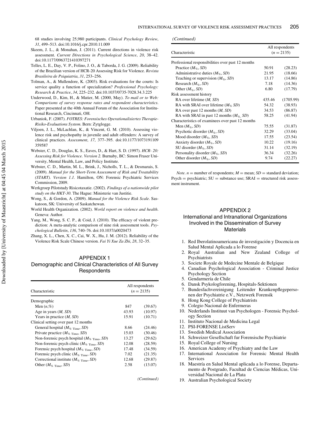68 studies involving 25,980 participants. Clinical Psychology Review, 31, 499–513. doi:10.1016/j.cpr.2010.11.009

- Skeem, J. L., & Monahan, J. (2011). Current directions in violence risk assessment. Current Directions in Psychological Science, 20, 38–42. doi:10.1177/0963721410397271
- Telles, L. E., Day, V. P., Folino, J. O., & Taborda, J. G. (2009). Reliability of the Brazilian version of HCR-20 Assessing Risk for Violence. Revista Brasileira de Psiquiatria, 31, 253–256.
- Tolman, A., & Mullendore, K. (2003). Risk evaluations for the courts: Is service quality a function of specialization? Professional Psychology: Research & Practice, 34, 225–232. doi:10.1037/0735-7028.34.3.225
- Underwood, D., Kim, H., & Matier, M. (2000, May). To mail or to Web: Comparisons of survey response rates and respondent characteristics. Paper presented at the 40th Annual Forum of the Association for Institutional Research, Cincinnati, OH.
- Urbaniok, F. (2007). FOTRES: Forensisches Operationalisiertes Therapie-Risiko-Evaluations System. Bern: Zytglogge.
- Viljoen, J. L., McLachlan, K., & Vincent, G. M. (2010). Assessing violence risk and psychopathy in juvenile and adult offenders: A survey of clinical practices. Assessment, 17, 377–395. doi:10.1177/1073191109 359587
- Webster, C. D., Douglas, K. S., Eaves, D., & Hart, S. D. (1997). HCR- 20: Assessing Risk for Violence. Version 2. Burnaby, BC: Simon Fraser University, Mental Health, Law, and Policy Institute.
- Webster, C. D., Martin, M. L., Brink, J., Nicholls, T. L., & Desmarais, S. (2009). Manual for the Short-Term Assessment of Risk and Treatability (START). Version 1.1. Hamilton, ON: Forensic Psychiatric Services Commission, 2009.
- Werkgroep Pilotstudy Risicotaxatie. (2002). Findings of a nationwide pilot study on the HKT-30. The Hague: Ministerie van Justitie.
- Wong, S., & Gordon, A. (2009). Manual for the Violence Risk Scale. Saskatoon, SK: University of Saskatchewan.
- World Health Organization. (2002). World report on violence and health. Geneva: Author.
- Yang, M., Wong, S. C. P., & Coid, J. (2010). The efficacy of violent prediction: A meta-analytic comparison of nine risk assessment tools. Psychological Bulletin, 136, 740–76. doi:10.1037/a0020473
- Zhang, X. L., Chen, X. C., Cai, W. X., Hu, J. M. (2012). Reliability of the Violence Risk Scale Chinese version. Fai Yi Xue Za Zhi, 28, 32–35.

## APPENDIX 1

# Demographic and Clinical Characteristics of All Survey **Respondents**

| Characteristic                                            | All respondents<br>$(n = 2135)$ |         |  |
|-----------------------------------------------------------|---------------------------------|---------|--|
| Demographic                                               |                                 |         |  |
| Men $(n, \%)$                                             | 847                             | (39.67) |  |
| Age in years $(M, SD)$                                    | 43.93                           | (10.97) |  |
| Years in practice $(M, SD)$                               | 15.91                           | (10.71) |  |
| Clinical setting over past 12 months                      |                                 |         |  |
| General hospital $(M_{\% \text{ Time}}, SD)$              | 8.66                            | (24.46) |  |
| Private practice $(M_{\% \text{ Time}}, SD)$              | 15.03                           | (30.46) |  |
| Non-forensic psych hospital ( $M_{\% \text{ Time}}$ , SD) | 13.27                           | (29.62) |  |
| Non-forensic psych clinic $(M_{\alpha_{\text{m}}}, SD)$   | 12.08                           | (28.59) |  |
| Forensic psych hospital ( $M_{\% \text{ Time}}$ , SD)     | 17.48                           | (34.59) |  |
| Forensic psych clinic $(M_{\% \text{ Time}}, SD)$         | 7.02                            | (21.35) |  |
| Correctional institute $(M_{\% \text{ Time}}, SD)$        | 12.68                           | (29.87) |  |
| Other $(M_{\% \text{ Time}}, SD)$                         | 2.58                            | (13.07) |  |

(Continued)

#### (Continued)

|                                                         |              | All respondents |  |
|---------------------------------------------------------|--------------|-----------------|--|
| Characteristic                                          | $(n = 2135)$ |                 |  |
| Professional responsibilities over past 12 months       |              |                 |  |
| Practice $(M_{\%}, SD)$                                 | 50.91        | (28.23)         |  |
| Administrative duties $(M_{\%}, SD)$                    | 21.95        | (18.66)         |  |
| Teaching or supervision $(M_{\mathscr{A}}, SD)$         | 13.17        | (14.86)         |  |
| Research $(M_{\%}, SD)$                                 | 7.18         | (14.36)         |  |
| Other $(M_{\mathscr{A}}, SD)$                           | 6.80         | (17.79)         |  |
| Risk assessment history                                 |              |                 |  |
| RA over lifetime $(M, SD)$                              | 435.46       | (1705.99)       |  |
| RA with SRAI over lifetime $(M_{\%}SD)$                 | 54.32        | (38.93)         |  |
| RA over past 12 months $(M, SD)$                        | 34.53        | (86.87)         |  |
| RA with SRAI in past 12 months $(M_{\mathcal{G}_0}$ SD) | 58.25        | (41.94)         |  |
| Characteristics of examinees over past 12 months        |              |                 |  |
| Men $(M_{\mathscr{A}}, SD)$                             | 75.55        | (31.87)         |  |
| Psychotic disorder $(M_{\%}, SD)$                       | 32.29        | (33.04)         |  |
| Mood disorder $(M_{\%}, SD)$                            | 17.55        | (23.54)         |  |
| Anxiety disorder $(M_{\%}, SD)$                         | 10.22        | (19.16)         |  |
| SU disorder $(M_{\%}, SD)$                              | 31.14        | (32.19)         |  |
| Personality disorder $(M_{\alpha_0}, SD)$               | 36.34        | (32.26)         |  |
| Other disorder $(M_{\%}, SD)$                           | 9.74         | (22.27)         |  |

*Note.*  $n =$  number of respondents;  $M =$  mean;  $SD =$  standard deviation;  $Psych = psychiatric; SU = substance use; SRAI = structured risk assess$ ment instrument.

#### APPENDIX 2

## International and Intranational Organizations Involved in the Dissemination of Survey **Materials**

- 1. Red Iberolatinoamericana de investigacion y Docencia en Salud Mental Aplicada a lo Forense
- 2. Royal Australian and New Zealand College of Psychiatrists
- 3. Societe Royale de Medecine Mentale de Belgique
- 4. Canadian Psychological Association Criminal Justice Psychology Section
- 5. Gendarmería de Chile
- 6. Dansk Psykologforening, Hospitals-Sektionen
- 7. Bundesfachvereinigung Leitender Krankenpflegepersonen der Psychiatrie e.V., Netzwerk Forensik
- 8. Hong Kong College of Psychiatrists
- 9. Colegio Nacional de Enfermeras
- 10. Nederlands Instituut van Psychologen Forensic Psychology Section
- 11. Instituto Nacional de Medicina Legal
- 12. PSI-FORENSE ListServ
- 13. Swedish Medical Association
- 14. Schweizer Gesellschaft fur Forensische Psychiatrie
- 15. Royal College of Nursing
- 16. American Academy of Psychiatry and the Law
- 17. International Association for Forensic Mental Health Services
- 18. Maestría en Salud Mental aplicada a lo Forense, Departamento de Postgrado, Facultad de Ciencias Médicas, Universidad Nacional de La Plata
- 19. Australian Psychological Society